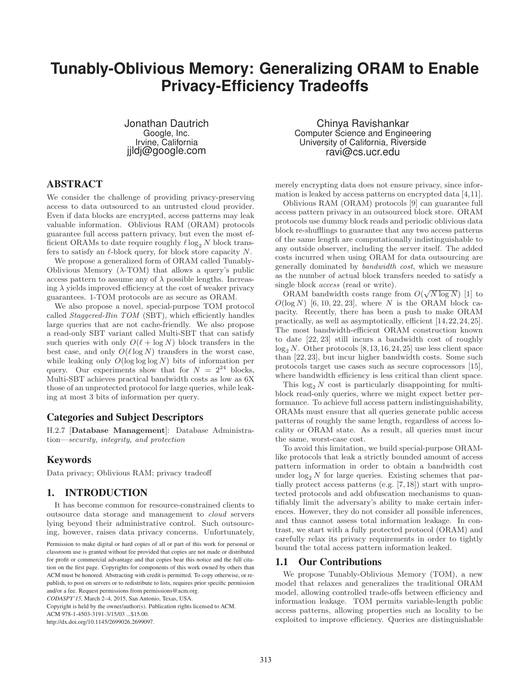# **Tunably-Oblivious Memory: Generalizing ORAM to Enable Privacy-Efficiency Tradeoffs**

Jonathan Dautrich Google, Inc. Irvine, California jjldj@google.com

# ABSTRACT

We consider the challenge of providing privacy-preserving access to data outsourced to an untrusted cloud provider. Even if data blocks are encrypted, access patterns may leak valuable information. Oblivious RAM (ORAM) protocols guarantee full access pattern privacy, but even the most efficient ORAMs to date require roughly  $\ell \log_2 N$  block transfers to satisfy an  $\ell$ -block query, for block store capacity  $N$ .

We propose a generalized form of ORAM called Tunably-Oblivious Memory (λ-TOM) that allows a query's public access pattern to assume any of  $\lambda$  possible lengths. Increasing  $\lambda$  yields improved efficiency at the cost of weaker privacy guarantees. 1-TOM protocols are as secure as ORAM.

We also propose a novel, special-purpose TOM protocol called *Staggered-Bin TOM* (SBT), which efficiently handles large queries that are not cache-friendly. We also propose a read-only SBT variant called Multi-SBT that can satisfy such queries with only  $O(\ell + \log N)$  block transfers in the best case, and only  $O(\ell \log N)$  transfers in the worst case, while leaking only  $O(\log \log N)$  bits of information per query. Our experiments show that for  $N = 2^{24}$  blocks, Multi-SBT achieves practical bandwidth costs as low as 6X those of an unprotected protocol for large queries, while leaking at most 3 bits of information per query.

# Categories and Subject Descriptors

H.2.7 [Database Management]: Database Administration—*security, integrity, and protection*

### Keywords

Data privacy; Oblivious RAM; privacy tradeoff

# 1. INTRODUCTION

It has become common for resource-constrained clients to outsource data storage and management to *cloud* servers lying beyond their administrative control. Such outsourcing, however, raises data privacy concerns. Unfortunately,

*CODASPY'15,* March 2–4, 2015, San Antonio, Texas, USA.

Copyright is held by the owner/author(s). Publication rights licensed to ACM.

http://dx.doi.org/10.1145/2699026.2699097.

Chinya Ravishankar Computer Science and Engineering University of California, Riverside ravi@cs.ucr.edu

merely encrypting data does not ensure privacy, since information is leaked by access patterns on encrypted data [4,11].

Oblivious RAM (ORAM) protocols [9] can guarantee full access pattern privacy in an outsourced block store. ORAM protocols use dummy block reads and periodic oblivious data block re-shufflings to guarantee that any two access patterns of the same length are computationally indistinguishable to any outside observer, including the server itself. The added costs incurred when using ORAM for data outsourcing are generally dominated by *bandwidth cost*, which we measure as the number of actual block transfers needed to satisfy a single block *access* (read or write).

ORAM bandwidth costs range from  $O(\sqrt{N \log N})$  [1] to  $O(\log N)$  [6, 10, 22, 23], where N is the ORAM block capacity. Recently, there has been a push to make ORAM practically, as well as asymptotically, efficient [14,22,24,25]. The most bandwidth-efficient ORAM construction known to date [22, 23] still incurs a bandwidth cost of roughly  $log_2 N$ . Other protocols [8,13,16,24,25] use less client space than [22, 23], but incur higher bandwidth costs. Some such protocols target use cases such as secure coprocessors [15], where bandwidth efficiency is less critical than client space.

This  $\log_2 N$  cost is particularly disappointing for multiblock read-only queries, where we might expect better performance. To achieve full access pattern indistinguishability, ORAMs must ensure that all queries generate public access patterns of roughly the same length, regardless of access locality or ORAM state. As a result, all queries must incur the same, worst-case cost.

To avoid this limitation, we build special-purpose ORAMlike protocols that leak a strictly bounded amount of access pattern information in order to obtain a bandwidth cost under  $log_2 N$  for large queries. Existing schemes that partially protect access patterns (e.g. [7, 18]) start with unprotected protocols and add obfuscation mechanisms to quantifiably limit the adversary's ability to make certain inferences. However, they do not consider all possible inferences, and thus cannot assess total information leakage. In contrast, we start with a fully protected protocol (ORAM) and carefully relax its privacy requirements in order to tightly bound the total access pattern information leaked.

### 1.1 Our Contributions

We propose Tunably-Oblivious Memory (TOM), a new model that relaxes and generalizes the traditional ORAM model, allowing controlled trade-offs between efficiency and information leakage. TOM permits variable-length public access patterns, allowing properties such as locality to be exploited to improve efficiency. Queries are distinguishable

Permission to make digital or hard copies of all or part of this work for personal or classroom use is granted without fee provided that copies are not made or distributed for profit or commercial advantage and that copies bear this notice and the full citation on the first page. Copyrights for components of this work owned by others than ACM must be honored. Abstracting with credit is permitted. To copy otherwise, or republish, to post on servers or to redistribute to lists, requires prior specific permission and/or a fee. Request permissions from permissions@acm.org.

ACM 978-1-4503-3191-3/15/03 ...\$15.00.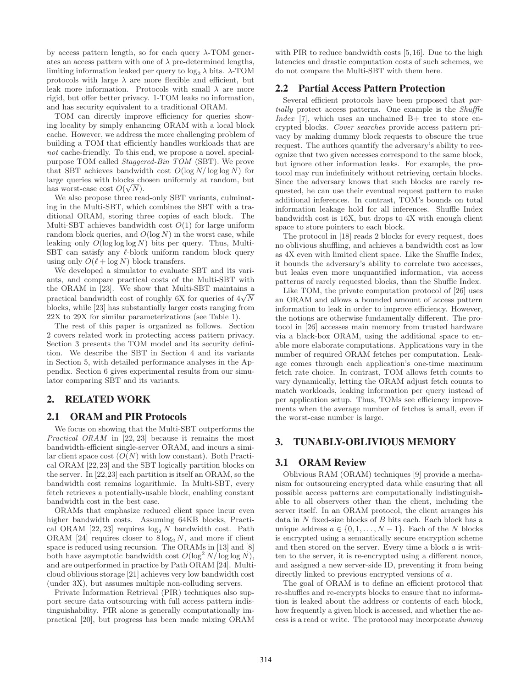by access pattern length, so for each query  $\lambda$ -TOM generates an access pattern with one of  $\lambda$  pre-determined lengths, limiting information leaked per query to  $\log_2 \lambda$  bits.  $\lambda$ -TOM protocols with large  $\lambda$  are more flexible and efficient, but leak more information. Protocols with small  $\lambda$  are more rigid, but offer better privacy. 1-TOM leaks no information, and has security equivalent to a traditional ORAM.

TOM can directly improve efficiency for queries showing locality by simply enhancing ORAM with a local block cache. However, we address the more challenging problem of building a TOM that efficiently handles workloads that are *not* cache-friendly. To this end, we propose a novel, specialpurpose TOM called *Staggered-Bin TOM* (SBT). We prove that SBT achieves bandwidth cost  $O(\log N/\log \log N)$  for large queries with blocks chosen uniformly at random, but has worst-case cost  $O(\sqrt{N})$ .

We also propose three read-only SBT variants, culminating in the Multi-SBT, which combines the SBT with a traditional ORAM, storing three copies of each block. The Multi-SBT achieves bandwidth cost  $O(1)$  for large uniform random block queries, and  $O(\log N)$  in the worst case, while leaking only  $O(\log \log N)$  bits per query. Thus, Multi-SBT can satisfy any  $\ell$ -block uniform random block query using only  $O(\ell + \log N)$  block transfers.

We developed a simulator to evaluate SBT and its variants, and compare practical costs of the Multi-SBT with the ORAM in [23]. We show that Multi-SBT maintains a practical bandwidth cost of roughly 6X for queries of  $4\sqrt{N}$ blocks, while [23] has substantially larger costs ranging from 22X to 29X for similar parameterizations (see Table 1).

The rest of this paper is organized as follows. Section 2 covers related work in protecting access pattern privacy. Section 3 presents the TOM model and its security definition. We describe the SBT in Section 4 and its variants in Section 5, with detailed performance analyses in the Appendix. Section 6 gives experimental results from our simulator comparing SBT and its variants.

# 2. RELATED WORK

# 2.1 ORAM and PIR Protocols

We focus on showing that the Multi-SBT outperforms the *Practical ORAM* in [22, 23] because it remains the most bandwidth-efficient single-server ORAM, and incurs a similar client space cost  $(O(N)$  with low constant). Both Practical ORAM [22,23] and the SBT logically partition blocks on the server. In [22,23] each partition is itself an ORAM, so the bandwidth cost remains logarithmic. In Multi-SBT, every fetch retrieves a potentially-usable block, enabling constant bandwidth cost in the best case.

ORAMs that emphasize reduced client space incur even higher bandwidth costs. Assuming 64KB blocks, Practical ORAM [22, 23] requires  $\log_2 N$  bandwidth cost. Path ORAM [24] requires closer to  $8 \log_2 N$ , and more if client space is reduced using recursion. The ORAMs in [13] and [8] both have asymptotic bandwidth cost  $O(\log^2 N/\log \log N)$ , and are outperformed in practice by Path ORAM [24]. Multicloud oblivious storage [21] achieves very low bandwidth cost (under 3X), but assumes multiple non-colluding servers.

Private Information Retrieval (PIR) techniques also support secure data outsourcing with full access pattern indistinguishability. PIR alone is generally computationally impractical [20], but progress has been made mixing ORAM with PIR to reduce bandwidth costs [5,16]. Due to the high latencies and drastic computation costs of such schemes, we do not compare the Multi-SBT with them here.

### 2.2 Partial Access Pattern Protection

Several efficient protocols have been proposed that *partially* protect access patterns. One example is the *Shuffle Index* [7], which uses an unchained B+ tree to store encrypted blocks. *Cover searches* provide access pattern privacy by making dummy block requests to obscure the true request. The authors quantify the adversary's ability to recognize that two given accesses correspond to the same block, but ignore other information leaks. For example, the protocol may run indefinitely without retrieving certain blocks. Since the adversary knows that such blocks are rarely requested, he can use their eventual request pattern to make additional inferences. In contrast, TOM's bounds on total information leakage hold for all inferences. Shuffle Index bandwidth cost is 16X, but drops to 4X with enough client space to store pointers to each block.

The protocol in [18] reads 2 blocks for every request, does no oblivious shuffling, and achieves a bandwidth cost as low as 4X even with limited client space. Like the Shuffle Index, it bounds the adversary's ability to correlate two accesses, but leaks even more unquantified information, via access patterns of rarely requested blocks, than the Shuffle Index.

Like TOM, the private computation protocol of [26] uses an ORAM and allows a bounded amount of access pattern information to leak in order to improve efficiency. However, the notions are otherwise fundamentally different. The protocol in [26] accesses main memory from trusted hardware via a black-box ORAM, using the additional space to enable more elaborate computations. Applications vary in the number of required ORAM fetches per computation. Leakage comes through each application's one-time maximum fetch rate choice. In contrast, TOM allows fetch counts to vary dynamically, letting the ORAM adjust fetch counts to match workloads, leaking information per query instead of per application setup. Thus, TOMs see efficiency improvements when the average number of fetches is small, even if the worst-case number is large.

### 3. TUNABLY-OBLIVIOUS MEMORY

# 3.1 ORAM Review

Oblivious RAM (ORAM) techniques [9] provide a mechanism for outsourcing encrypted data while ensuring that all possible access patterns are computationally indistinguishable to all observers other than the client, including the server itself. In an ORAM protocol, the client arranges his data in N fixed-size blocks of B bits each. Each block has a unique address  $a \in \{0, 1, ..., N-1\}$ . Each of the N blocks is encrypted using a semantically secure encryption scheme and then stored on the server. Every time a block a is written to the server, it is re-encrypted using a different nonce, and assigned a new server-side ID, preventing it from being directly linked to previous encrypted versions of a.

The goal of ORAM is to define an efficient protocol that re-shuffles and re-encrypts blocks to ensure that no information is leaked about the address or contents of each block, how frequently a given block is accessed, and whether the access is a read or write. The protocol may incorporate *dummy*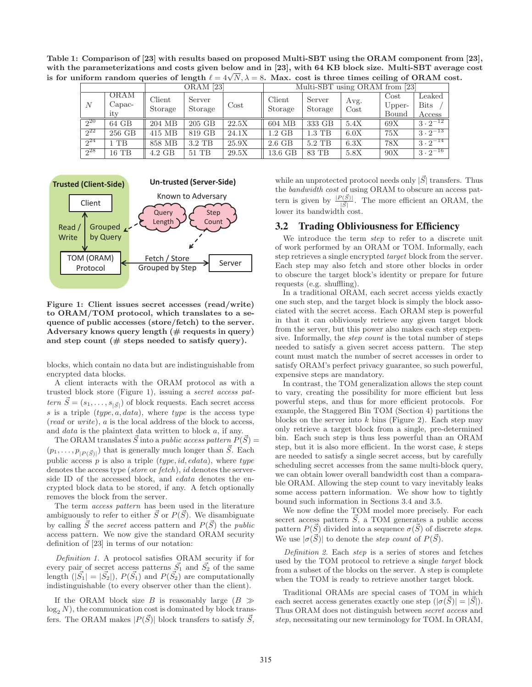Table 1: Comparison of [23] with results based on proposed Multi-SBT using the ORAM component from [23], with the parameterizations and costs given below and in [23], with 64 KB block size. Multi-SBT average cost is for uniform random queries of length  $\ell = 4\sqrt{N}$ ,  $\lambda = 8$ . Max. cost is three times ceiling of ORAM cost.

|          |                         | $ORAM$ [23]       |                   |          | Multi-SBT using ORAM from [23] |                   |              |                         |                                 |
|----------|-------------------------|-------------------|-------------------|----------|--------------------------------|-------------------|--------------|-------------------------|---------------------------------|
| N        | ORAM<br>$Capac-$<br>itv | Client<br>Storage | Server<br>Storage | $\cos t$ | Client<br>Storage              | Server<br>Storage | Avg.<br>Cost | Cost<br>Upper-<br>Bound | Leaked<br><b>Bits</b><br>Access |
| $2^{20}$ | 64 GB                   | 204 MB            | 205 GB            | 22.5X    | 604 MB                         | 333 GB            | 5.4X         | 69X                     | $3 \cdot 2^{-12}$               |
| $2^{22}$ | 256 GB                  | 415 MB            | 819 GB            | 24.1X    | $1.2\text{ GB}$                | $1.3$ TB          | 6.0X         | 75X                     | $3 \cdot 2^{-13}$               |
| $2^{24}$ | TB                      | 858 MB            | $3.2$ TB          | 25.9X    | $2.6$ GB                       | $5.2$ TB          | 6.3X         | 78X                     | $1\overline{3\cdot 2^{-14}}$    |
| $2^{28}$ | $16$ TB                 | 4.2 GB            | $51$ TB           | 29.5X    | 13.6 GB                        | 83 TB             | 5.8X         | 90X                     | $3 \cdot 2^{-16}$               |



Figure 1: Client issues secret accesses (read/write) to ORAM/TOM protocol, which translates to a sequence of public accesses (store/fetch) to the server. Adversary knows query length  $(\#$  requests in query) and step count  $(\#$  steps needed to satisfy query).

blocks, which contain no data but are indistinguishable from encrypted data blocks.

A client interacts with the ORAM protocol as with a trusted block store (Figure 1), issuing a *secret access pattern*  $\vec{S} = (s_1, \ldots, s_{|\vec{S}|})$  of block requests. Each secret access s is a triple  $(type, a, data)$ , where type is the access type (*read* or *write*), a is the local address of the block to access, and data is the plaintext data written to block a, if any.

The ORAM translates  $\vec{S}$  into a *public access pattern*  $P(\vec{S}) =$  $(p_1, \ldots, p_{|P(\vec{S})|})$  that is generally much longer than  $\vec{S}$ . Each public access  $p$  is also a triple  $(type, id, edata)$ , where  $type$ denotes the access type (*store* or *fetch*), id denotes the serverside ID of the accessed block, and *edata* denotes the encrypted block data to be stored, if any. A fetch optionally removes the block from the server.

The term *access pattern* has been used in the literature ambiguously to refer to either  $\vec{S}$  or  $P(\vec{S})$ . We disambiguate by calling  $\vec{S}$  the *secret* access pattern and  $P(\vec{S})$  the *public* access pattern. We now give the standard ORAM security definition of [23] in terms of our notation:

*Definition 1.* A protocol satisfies ORAM security if for every pair of secret access patterns  $\vec{S}_1$  and  $\vec{S}_2$  of the same length  $(|\vec{S_1}| = |\vec{S_2}|)$ ,  $P(\vec{S_1})$  and  $P(\vec{S_2})$  are computationally indistinguishable (to every observer other than the client).

If the ORAM block size B is reasonably large ( $B \gg$  $log<sub>2</sub> N$ , the communication cost is dominated by block transfers. The ORAM makes  $|P(\vec{S})|$  block transfers to satisfy  $\vec{S}$ ,

while an unprotected protocol needs only  $|\vec{S}|$  transfers. Thus the *bandwidth cost* of using ORAM to obscure an access pattern is given by  $\frac{|P(\vec{S})|}{|\vec{S}|}$ . The more efficient an ORAM, the lower its bandwidth cost.

### 3.2 Trading Obliviousness for Efficiency

We introduce the term *step* to refer to a discrete unit of work performed by an ORAM or TOM. Informally, each step retrieves a single encrypted *target* block from the server. Each step may also fetch and store other blocks in order to obscure the target block's identity or prepare for future requests (e.g. shuffling).

In a traditional ORAM, each secret access yields exactly one such step, and the target block is simply the block associated with the secret access. Each ORAM step is powerful in that it can obliviously retrieve any given target block from the server, but this power also makes each step expensive. Informally, the *step count* is the total number of steps needed to satisfy a given secret access pattern. The step count must match the number of secret accesses in order to satisfy ORAM's perfect privacy guarantee, so such powerful, expensive steps are mandatory.

In contrast, the TOM generalization allows the step count to vary, creating the possibility for more efficient but less powerful steps, and thus for more efficient protocols. For example, the Staggered Bin TOM (Section 4) partitions the blocks on the server into  $k$  bins (Figure 2). Each step may only retrieve a target block from a single, pre-determined bin. Each such step is thus less powerful than an ORAM step, but it is also more efficient. In the worst case,  $k$  steps are needed to satisfy a single secret access, but by carefully scheduling secret accesses from the same multi-block query, we can obtain lower overall bandwidth cost than a comparable ORAM. Allowing the step count to vary inevitably leaks some access pattern information. We show how to tightly bound such information in Sections 3.4 and 3.5.

We now define the TOM model more precisely. For each secret access pattern  $\vec{S}$ , a TOM generates a public access pattern  $P(\vec{S})$  divided into a sequence  $\sigma(\vec{S})$  of discrete *steps*. We use  $|\sigma(\vec{S})|$  to denote the *step count* of  $P(\vec{S})$ .

*Definition 2.* Each *step* is a series of stores and fetches used by the TOM protocol to retrieve a single *target* block from a subset of the blocks on the server. A step is complete when the TOM is ready to retrieve another target block.

Traditional ORAMs are special cases of TOM in which each secret access generates exactly one step  $(|\sigma(S)| = |S|)$ . Thus ORAM does not distinguish between *secret access* and *step*, necessitating our new terminology for TOM. In ORAM,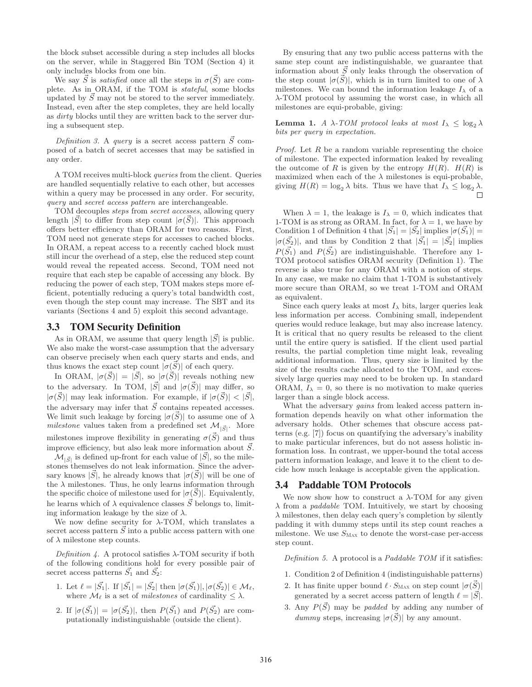the block subset accessible during a step includes all blocks on the server, while in Staggered Bin TOM (Section 4) it only includes blocks from one bin.

We say  $\vec{S}$  is *satisfied* once all the steps in  $\sigma(\vec{S})$  are complete. As in ORAM, if the TOM is *stateful*, some blocks updated by  $\ddot{S}$  may not be stored to the server immediately. Instead, even after the step completes, they are held locally as *dirty* blocks until they are written back to the server during a subsequent step.

*Definition 3.* A *query* is a secret access pattern  $\vec{S}$  composed of a batch of secret accesses that may be satisfied in any order.

A TOM receives multi-block *queries* from the client. Queries are handled sequentially relative to each other, but accesses within a query may be processed in any order. For security, *query* and *secret access pattern* are interchangeable.

TOM decouples *steps* from *secret accesses*, allowing query length  $|\vec{S}|$  to differ from step count  $|\sigma(\vec{S})|$ . This approach offers better efficiency than ORAM for two reasons. First, TOM need not generate steps for accesses to cached blocks. In ORAM, a repeat access to a recently cached block must still incur the overhead of a step, else the reduced step count would reveal the repeated access. Second, TOM need not require that each step be capable of accessing any block. By reducing the power of each step, TOM makes steps more efficient, potentially reducing a query's total bandwidth cost, even though the step count may increase. The SBT and its variants (Sections 4 and 5) exploit this second advantage.

### 3.3 TOM Security Definition

As in ORAM, we assume that query length  $|\vec{S}|$  is public. We also make the worst-case assumption that the adversary can observe precisely when each query starts and ends, and thus knows the exact step count  $|\sigma(\vec{S})|$  of each query.

In ORAM,  $|\sigma(\vec{S})| = |\vec{S}|$ , so  $|\sigma(\vec{S})|$  reveals nothing new to the adversary. In TOM,  $|\vec{S}|$  and  $|\sigma(\vec{S})|$  may differ, so  $|\sigma(\vec{S})|$  may leak information. For example, if  $|\sigma(\vec{S})| < |\vec{S}|$ , the adversary may infer that  $\vec{S}$  contains repeated accesses. We limit such leakage by forcing  $|\sigma(\vec{S})|$  to assume one of  $\lambda$ *milestone* values taken from a predefined set  $\mathcal{M}_{|\vec{S}|}$ . More milestones improve flexibility in generating  $\sigma(\vec{S})$  and thus improve efficiency, but also leak more information about  $\vec{S}$ .

 $\mathcal{M}_{|\vec{S}|}$  is defined up-front for each value of  $|\vec{S}|,$  so the milestones themselves do not leak information. Since the adversary knows  $|\vec{S}|$ , he already knows that  $|\sigma(\vec{S})|$  will be one of the  $\lambda$  milestones. Thus, he only learns information through the specific choice of milestone used for  $|\sigma(\vec{S})|$ . Equivalently, he learns which of  $\lambda$  equivalence classes  $\vec{S}$  belongs to, limiting information leakage by the size of  $\lambda$ .

We now define security for  $\lambda$ -TOM, which translates a secret access pattern  $\ddot{S}$  into a public access pattern with one of  $\lambda$  milestone step counts.

*Definition 4.* A protocol satisfies  $\lambda$ -TOM security if both of the following conditions hold for every possible pair of secret access patterns  $\vec{S}_1$  and  $\vec{S}_2$ :

- 1. Let  $\ell = |\vec{S_1}|$ . If  $|\vec{S_1}| = |\vec{S_2}|$  then  $|\sigma(\vec{S_1})|, |\sigma(\vec{S_2})| \in \mathcal{M}_{\ell}$ , where  $\mathcal{M}_{\ell}$  is a set of *milestones* of cardinality  $\leq \lambda$ .
- 2. If  $|\sigma(\vec{S_1})| = |\sigma(\vec{S_2})|$ , then  $P(\vec{S_1})$  and  $P(\vec{S_2})$  are computationally indistinguishable (outside the client).

By ensuring that any two public access patterns with the same step count are indistinguishable, we guarantee that information about  $\vec{S}$  only leaks through the observation of the step count  $|\sigma(\vec{S})|$ , which is in turn limited to one of  $\lambda$ milestones. We can bound the information leakage  $I_{\lambda}$  of a λ-TOM protocol by assuming the worst case, in which all milestones are equi-probable, giving:

**Lemma 1.** *A*  $\lambda$ *-TOM protocol leaks at most*  $I_{\lambda} \leq \log_2 \lambda$ *bits per query in expectation.*

*Proof.* Let R be a random variable representing the choice of milestone. The expected information leaked by revealing the outcome of R is given by the entropy  $H(R)$ .  $H(R)$  is maximized when each of the  $\lambda$  milestones is equi-probable, giving  $H(R) = \log_2 \lambda$  bits. Thus we have that  $I_{\lambda} \leq \log_2 \lambda$ .

When  $\lambda = 1$ , the leakage is  $I_{\lambda} = 0$ , which indicates that 1-TOM is as strong as ORAM. In fact, for  $\lambda = 1$ , we have by Condition 1 of Definition 4 that  $|\vec{S_1}| = |\vec{S_2}|$  implies  $|\sigma(\vec{S_1})|$  =  $|\sigma(\vec{S_2})|$ , and thus by Condition 2 that  $|\vec{S_1}| = |\vec{S_2}|$  implies  $P(\vec{S_1})$  and  $P(\vec{S_2})$  are indistinguishable. Therefore any 1-TOM protocol satisfies ORAM security (Definition 1). The reverse is also true for any ORAM with a notion of steps. In any case, we make no claim that 1-TOM is substantively more secure than ORAM, so we treat 1-TOM and ORAM as equivalent.

Since each query leaks at most  $I_{\lambda}$  bits, larger queries leak less information per access. Combining small, independent queries would reduce leakage, but may also increase latency. It is critical that no query results be released to the client until the entire query is satisfied. If the client used partial results, the partial completion time might leak, revealing additional information. Thus, query size is limited by the size of the results cache allocated to the TOM, and excessively large queries may need to be broken up. In standard ORAM,  $I_{\lambda} = 0$ , so there is no motivation to make queries larger than a single block access.

What the adversary *gains* from leaked access pattern information depends heavily on what other information the adversary holds. Other schemes that obscure access patterns (e.g. [7]) focus on quantifying the adversary's inability to make particular inferences, but do not assess holistic information loss. In contrast, we upper-bound the total access pattern information leakage, and leave it to the client to decide how much leakage is acceptable given the application.

### 3.4 Paddable TOM Protocols

We now show how to construct a  $\lambda$ -TOM for any given λ from a *paddable* TOM. Intuitively, we start by choosing  $\lambda$  milestones, then delay each query's completion by silently padding it with dummy steps until its step count reaches a milestone. We use  $S_{\text{MAX}}$  to denote the worst-case per-access step count.

*Definition 5.* A protocol is a *Paddable TOM* if it satisfies:

- 1. Condition 2 of Definition 4 (indistinguishable patterns)
- 2. It has finite upper bound  $\ell \cdot S_{\text{MAX}}$  on step count  $|\sigma(\vec{S})|$ generated by a secret access pattern of length  $\ell = |\vec{S}|$ .
- 3. Any  $P(\vec{S})$  may be *padded* by adding any number of *dummy* steps, increasing  $|\sigma(\vec{S})|$  by any amount.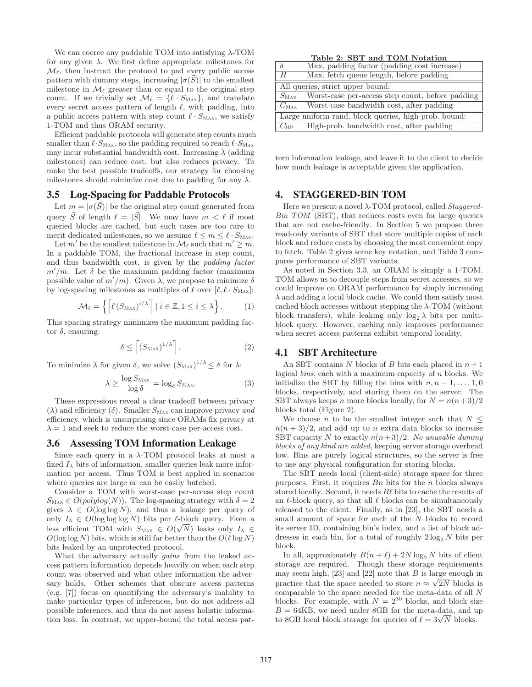We can coerce any paddable TOM into satisfying  $\lambda$ -TOM for any given  $\lambda$ . We first define appropriate milestones for  $\mathcal{M}_{\ell}$ , then instruct the protocol to pad every public access pattern with dummy steps, increasing  $|\sigma(\vec{S})|$  to the smallest milestone in  $\mathcal{M}_{\ell}$  greater than or equal to the original step count. If we trivially set  $\mathcal{M}_{\ell} = {\ell \cdot S_{\text{MAX}}}$ , and translate every secret access pattern of length  $\ell$ , with padding, into a public access pattern with step count  $\ell \cdot S_{\text{MAX}}$ , we satisfy 1-TOM and thus ORAM security.

Efficient paddable protocols will generate step counts much smaller than  $\ell \cdot S_{\text{MAX}}$ , so the padding required to reach  $\ell \cdot S_{\text{MAX}}$ may incur substantial bandwidth cost. Increasing  $\lambda$  (adding milestones) can reduce cost, but also reduces privacy. To make the best possible tradeoffs, our strategy for choosing milestones should minimize cost due to padding for any  $\lambda$ .

### 3.5 Log-Spacing for Paddable Protocols

Let  $m = |\sigma(\vec{S})|$  be the original step count generated from query  $\vec{S}$  of length  $\ell = |\vec{S}|$ . We may have  $m < \ell$  if most queried blocks are cached, but such cases are too rare to merit dedicated milestones, so we assume  $\ell \leq m \leq \ell \cdot S_{\text{MAX}}$ .

Let  $m'$  be the smallest milestone in  $\mathcal{M}_{\ell}$  such that  $m' \geq m$ . In a paddable TOM, the fractional increase in step count, and thus bandwidth cost, is given by the *padding factor*  $m'/m$ . Let  $\delta$  be the maximum padding factor (maximum possible value of  $m'/m$ . Given  $\lambda$ , we propose to minimize  $\delta$ by log-spacing milestones as multiples of  $\ell$  over  $[\ell, \ell \cdot S_{\text{MAX}}]$ :

$$
\mathcal{M}_{\ell} = \left\{ \left[ \ell \left( S_{\text{Max}} \right)^{i/\lambda} \right] \mid i \in \mathbb{Z}, 1 \leq i \leq \lambda \right\}.
$$
 (1)

This spacing strategy minimizes the maximum padding factor  $\delta$ , ensuring:

$$
\delta \le \left[ \left( S_{\text{Max}} \right)^{1/\lambda} \right]. \tag{2}
$$

To minimize  $\lambda$  for given  $\delta$ , we solve  $(S_{\text{Max}})^{1/\lambda} \leq \delta$  for  $\lambda$ :

$$
\lambda \ge \frac{\log S_{\text{Max}}}{\log \delta} = \log_{\delta} S_{\text{Max}}.\tag{3}
$$

These expressions reveal a clear tradeoff between privacy  $(\lambda)$  and efficiency  $(\delta)$ . Smaller  $S_{\text{Max}}$  can improve privacy *and* efficiency, which is unsurprising since ORAMs fix privacy at  $\lambda = 1$  and seek to reduce the worst-case per-access cost.

### 3.6 Assessing TOM Information Leakage

Since each query in a  $\lambda$ -TOM protocol leaks at most a fixed  $I_{\lambda}$  bits of information, smaller queries leak more information per access. Thus TOM is best applied in scenarios where queries are large or can be easily batched.

Consider a TOM with worst-case per-access step count  $S_{\text{Max}} \in O(polylog(N))$ . The log-spacing strategy with  $\delta = 2$ gives  $\lambda \in O(\log \log N)$ , and thus a leakage per query of only  $I_{\lambda} \in O(\log \log \log N)$  bits per  $\ell$ -block query. Even a less efficient TOM with  $S_{\text{Max}} \in O(\sqrt{N})$  leaks only  $I_{\lambda} \in$  $O(\log \log N)$  bits, which is still far better than the  $O(\ell \log N)$ bits leaked by an unprotected protocol.

What the adversary actually *gains* from the leaked access pattern information depends heavily on when each step count was observed and what other information the adversary holds. Other schemes that obscure access patterns (e.g. [7]) focus on quantifying the adversary's inability to make particular types of inferences, but do not address all possible inferences, and thus do not assess holistic information loss. In contrast, we upper-bound the total access pat-

Table 2: SBT and TOM Notation

|                                                      | Max. padding factor (padding cost increase)      |  |  |  |
|------------------------------------------------------|--------------------------------------------------|--|--|--|
| H                                                    | Max. fetch queue length, before padding          |  |  |  |
| All queries, strict upper bound:                     |                                                  |  |  |  |
| $S_{\rm{MAX}}$                                       | Worst-case per-access step count, before padding |  |  |  |
| $C_{\text{Max}}$                                     | Worst-case bandwidth cost, after padding         |  |  |  |
| Large uniform rand. block queries, high-prob. bound: |                                                  |  |  |  |
| $C_{\rm HP}$                                         | High-prob. bandwidth cost, after padding         |  |  |  |

tern information leakage, and leave it to the client to decide how much leakage is acceptable given the application.

### 4. STAGGERED-BIN TOM

Here we present a novel λ-TOM protocol, called *Staggered-Bin TOM* (SBT), that reduces costs even for large queries that are not cache-friendly. In Section 5 we propose three read-only variants of SBT that store multiple copies of each block and reduce costs by choosing the most convenient copy to fetch. Table 2 gives some key notation, and Table 3 compares performance of SBT variants.

As noted in Section 3.3, an ORAM is simply a 1-TOM. TOM allows us to decouple steps from secret accesses, so we could improve on ORAM performance by simply increasing  $\lambda$  and adding a local block cache. We could then satisfy most cached block accesses without stepping the  $\lambda$ -TOM (without block transfers), while leaking only  $\log_2 \lambda$  bits per multiblock query. However, caching only improves performance when secret access patterns exhibit temporal locality.

# 4.1 SBT Architecture

An SBT contains N blocks of B bits each placed in  $n + 1$ logical *bins*, each with a maximum capacity of n blocks. We initialize the SBT by filling the bins with  $n, n-1, \ldots, 1, 0$ blocks, respectively, and storing them on the server. The SBT always keeps n more blocks locally, for  $N = n(n+3)/2$ blocks total (Figure 2).

We choose n to be the smallest integer such that  $N <$  $n(n+3)/2$ , and add up to n extra data blocks to increase SBT capacity N to exactly  $n(n+3)/2$ . No unusable dummy *blocks of any kind are added*, keeping server storage overhead low. Bins are purely logical structures, so the server is free to use any physical configuration for storing blocks.

The SBT needs local (client-side) storage space for three purposes. First, it requires  $B_n$  bits for the n blocks always stored locally. Second, it needs  $B\ell$  bits to cache the results of an  $\ell$ -block query, so that all  $\ell$  blocks can be simultaneously released to the client. Finally, as in [23], the SBT needs a small amount of space for each of the N blocks to record its server ID, containing bin's index, and a list of block addresses in each bin, for a total of roughly  $2 \log_2 N$  bits per block.

In all, approximately  $B(n + \ell) + 2N \log_2 N$  bits of client storage are required. Though these storage requirements may seem high,  $[23]$  and  $[22]$  note that B is large enough in practice that the space needed to store  $n \approx \sqrt{2N}$  blocks is comparable to the space needed for the meta-data of all N blocks. For example, with  $N = 2^{30}$  blocks, and block size  $B = 64KB$ , we need under 8GB for the meta-data, and up to 8GB local block storage for queries of  $\ell = 3\sqrt{N}$  blocks.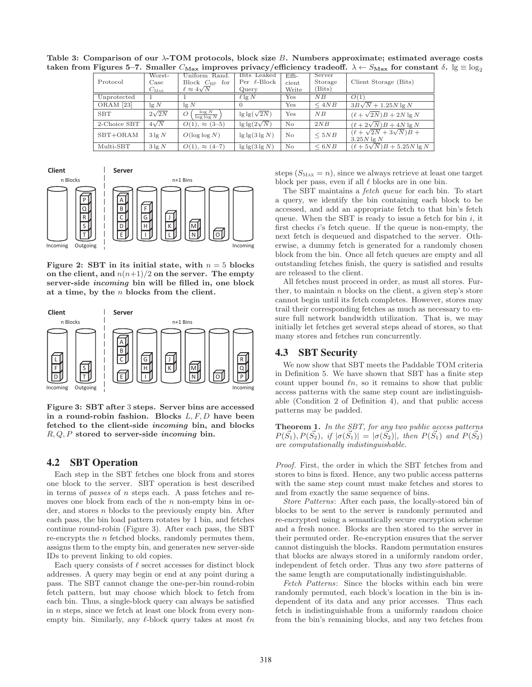| Protocol             | Worst-<br>Case<br>$C_{\rm MAX}$ | Uniform Rand.<br>Block $C_{HP}$ for<br>$\ell \approx 4\sqrt{N}$ | Bits Leaked<br>Per $\ell$ -Block<br>Query | $Effi-$<br>cient<br>Write | Server<br>Storage<br>(Bits) | Client Storage (Bits)                                |
|----------------------|---------------------------------|-----------------------------------------------------------------|-------------------------------------------|---------------------------|-----------------------------|------------------------------------------------------|
| Unprotected          |                                 |                                                                 | $\ell$ lg N                               | Yes                       | $\overline{NB}$             | O(1)                                                 |
| ORAM <sup>[23]</sup> | $\lg N$                         | $\lg N$                                                         | -0                                        | Yes                       | $\leq 4NB$                  | $3B\sqrt{N}+1.25N\lg N$                              |
| <b>SBT</b>           | $2\sqrt{2N}$                    | $\frac{\log N}{\log \log N}$<br>O                               | $\lg \lg(\sqrt{2N})$                      | Yes                       | $N$ $B$                     | $(\ell + \sqrt{2N})B + 2N \lg N$                     |
| 2-Choice SBT         | $4\sqrt{N}$                     | $O(1), \approx (3-5)$                                           | $\lg \lg(2\sqrt{N})$                      | N <sub>o</sub>            | 2NB                         | $(\ell + 2\sqrt{N})B + 4N \lg N$                     |
| $SBT+ORAM$           | $3\lg N$                        | $O(\log \log N)$                                                | $\lg \lg (3 \lg N)$                       | No                        | < 5NB                       | $(\ell + \sqrt{2N} + 3\sqrt{N})B +$<br>$3.25N \lg N$ |
| Multi-SBT            | $3\lg N$                        | $O(1), \approx (4-7)$                                           | $\lg \lg(3 \lg N)$                        | No                        | $\leq 6NB$                  | $(\ell + 5\sqrt{N})B + 5.25N \lg N$                  |

Table 3: Comparison of our λ-TOM protocols, block size B. Numbers approximate; estimated average costs taken from Figures 5–7. Smaller  $C_{\text{Max}}$  improves privacy/efficiency tradeoff.  $\lambda \leftarrow S_{\text{Max}}$  for constant  $\delta$ .  $\lg \equiv \log_2$ 



Figure 2: SBT in its initial state, with  $n = 5$  blocks on the client, and  $n(n+1)/2$  on the server. The empty server-side incoming bin will be filled in, one block at a time, by the  $n$  blocks from the client.



Figure 3: SBT after 3 steps. Server bins are accessed in a round-robin fashion. Blocks  $L, F, D$  have been fetched to the client-side incoming bin, and blocks  $R, Q, P$  stored to server-side *incoming* bin.

# 4.2 SBT Operation

Each step in the SBT fetches one block from and stores one block to the server. SBT operation is best described in terms of *passes* of n steps each. A pass fetches and removes one block from each of the  $n$  non-empty bins in order, and stores n blocks to the previously empty bin. After each pass, the bin load pattern rotates by 1 bin, and fetches continue round-robin (Figure 3). After each pass, the SBT re-encrypts the n fetched blocks, randomly permutes them, assigns them to the empty bin, and generates new server-side IDs to prevent linking to old copies.

Each query consists of  $\ell$  secret accesses for distinct block addresses. A query may begin or end at any point during a pass. The SBT cannot change the one-per-bin round-robin fetch pattern, but may choose which block to fetch from each bin. Thus, a single-block query can always be satisfied in n steps, since we fetch at least one block from every nonempty bin. Similarly, any  $\ell$ -block query takes at most  $\ell n$  steps  $(S_{\text{MAX}} = n)$ , since we always retrieve at least one target block per pass, even if all  $\ell$  blocks are in one bin.

The SBT maintains a *fetch queue* for each bin. To start a query, we identify the bin containing each block to be accessed, and add an appropriate fetch to that bin's fetch queue. When the SBT is ready to issue a fetch for bin  $i$ , it first checks i's fetch queue. If the queue is non-empty, the next fetch is dequeued and dispatched to the server. Otherwise, a dummy fetch is generated for a randomly chosen block from the bin. Once all fetch queues are empty and all outstanding fetches finish, the query is satisfied and results are released to the client.

All fetches must proceed in order, as must all stores. Further, to maintain  $n$  blocks on the client, a given step's store cannot begin until its fetch completes. However, stores may trail their corresponding fetches as much as necessary to ensure full network bandwidth utilization. That is, we may initially let fetches get several steps ahead of stores, so that many stores and fetches run concurrently.

# 4.3 SBT Security

We now show that SBT meets the Paddable TOM criteria in Definition 5. We have shown that SBT has a finite step count upper bound  $ln$ , so it remains to show that public access patterns with the same step count are indistinguishable (Condition 2 of Definition 4), and that public access patterns may be padded.

Theorem 1. *In the SBT, for any two public access patterns*  $P(S_1), P(S_2),$  *if*  $|\sigma(S_1)| = |\sigma(S_2)|$ *, then*  $P(S_1)$  *and*  $P(S_2)$ *are computationally indistinguishable.*

*Proof.* First, the order in which the SBT fetches from and stores to bins is fixed. Hence, any two public access patterns with the same step count must make fetches and stores to and from exactly the same sequence of bins.

*Store Patterns*: After each pass, the locally-stored bin of blocks to be sent to the server is randomly permuted and re-encrypted using a semantically secure encryption scheme and a fresh nonce. Blocks are then stored to the server in their permuted order. Re-encryption ensures that the server cannot distinguish the blocks. Random permutation ensures that blocks are always stored in a uniformly random order, independent of fetch order. Thus any two *store* patterns of the same length are computationally indistinguishable.

*Fetch Patterns*: Since the blocks within each bin were randomly permuted, each block's location in the bin is independent of its data and any prior accesses. Thus each fetch is indistinguishable from a uniformly random choice from the bin's remaining blocks, and any two fetches from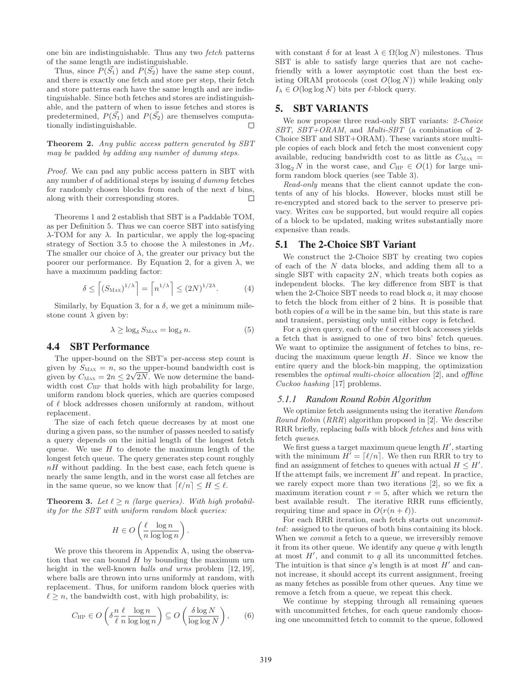one bin are indistinguishable. Thus any two *fetch* patterns of the same length are indistinguishable.

Thus, since  $P(\vec{S_1})$  and  $P(\vec{S_2})$  have the same step count, and there is exactly one fetch and store per step, their fetch and store patterns each have the same length and are indistinguishable. Since both fetches and stores are indistinguishable, and the pattern of when to issue fetches and stores is predetermined,  $P(S_1)$  and  $P(S_2)$  are themselves computationally indistinguishable.  $\Box$ 

Theorem 2. *Any public access pattern generated by SBT may be* padded *by adding any number of dummy steps.*

*Proof.* We can pad any public access pattern in SBT with any number d of additional steps by issuing d *dummy* fetches for randomly chosen blocks from each of the next d bins, along with their corresponding stores.  $\Box$ 

Theorems 1 and 2 establish that SBT is a Paddable TOM, as per Definition 5. Thus we can coerce SBT into satisfying  $\lambda$ -TOM for any  $\lambda$ . In particular, we apply the log-spacing strategy of Section 3.5 to choose the  $\lambda$  milestones in  $\mathcal{M}_{\ell}$ . The smaller our choice of  $\lambda$ , the greater our privacy but the poorer our performance. By Equation 2, for a given  $\lambda$ , we have a maximum padding factor:

$$
\delta \le \left[ \left( S_{\text{Max}} \right)^{1/\lambda} \right] = \left[ n^{1/\lambda} \right] \le \left( 2N \right)^{1/2\lambda}.
$$
 (4)

Similarly, by Equation 3, for a  $\delta$ , we get a minimum milestone count  $\lambda$  given by:

$$
\lambda \ge \log_{\delta} S_{\text{Max}} = \log_{\delta} n. \tag{5}
$$

# 4.4 SBT Performance

The upper-bound on the SBT's per-access step count is given by  $S_{\text{MAX}} = n$ , so the upper-bound bandwidth cost is given by  $C_{\text{MAX}} = 2n \leq 2\sqrt{2N}$ . We now determine the bandwidth cost  $C_{\text{HP}}$  that holds with high probability for large, uniform random block queries, which are queries composed of  $\ell$  block addresses chosen uniformly at random, without replacement.

The size of each fetch queue decreases by at most one during a given pass, so the number of passes needed to satisfy a query depends on the initial length of the longest fetch queue. We use  $H$  to denote the maximum length of the longest fetch queue. The query generates step count roughly  $nH$  without padding. In the best case, each fetch queue is nearly the same length, and in the worst case all fetches are in the same queue, so we know that  $\lceil \ell/n \rceil \leq H \leq \ell$ .

**Theorem 3.** Let  $\ell \geq n$  *(large queries). With high probability for the SBT with uniform random block queries:*

$$
H \in O\left(\frac{\ell}{n} \frac{\log n}{\log \log n}\right).
$$

We prove this theorem in Appendix A, using the observation that we can bound  $H$  by bounding the maximum urn height in the well-known *balls and urns* problem [12, 19], where balls are thrown into urns uniformly at random, with replacement. Thus, for uniform random block queries with  $\ell \geq n$ , the bandwidth cost, with high probability, is:

$$
C_{\rm HP} \in O\left(\delta \frac{n}{\ell} \frac{\ell}{n} \frac{\log n}{\log \log n}\right) \subseteq O\left(\frac{\delta \log N}{\log \log N}\right),\qquad(6)
$$

with constant  $\delta$  for at least  $\lambda \in \Omega(\log N)$  milestones. Thus SBT is able to satisfy large queries that are not cachefriendly with a lower asymptotic cost than the best existing ORAM protocols (cost  $O(\log N)$ ) while leaking only  $I_{\lambda} \in O(\log \log N)$  bits per  $\ell$ -block query.

# 5. SBT VARIANTS

We now propose three read-only SBT variants: *2-Choice SBT*, *SBT+ORAM*, and *Multi-SBT* (a combination of 2- Choice SBT and SBT+ORAM). These variants store multiple copies of each block and fetch the most convenient copy available, reducing bandwidth cost to as little as  $C_{\text{MAX}} =$  $3\log_2 N$  in the worst case, and  $C_{HP} \in O(1)$  for large uniform random block queries (see Table 3).

*Read-only* means that the client cannot update the contents of any of his blocks. However, blocks must still be re-encrypted and stored back to the server to preserve privacy. Writes *can* be supported, but would require all copies of a block to be updated, making writes substantially more expensive than reads.

### 5.1 The 2-Choice SBT Variant

We construct the 2-Choice SBT by creating two copies of each of the N data blocks, and adding them all to a single SBT with capacity  $2N$ , which treats both copies as independent blocks. The key difference from SBT is that when the 2-Choice SBT needs to read block  $a$ , it may choose to fetch the block from either of 2 bins. It is possible that both copies of a will be in the same bin, but this state is rare and transient, persisting only until either copy is fetched.

For a given query, each of the  $\ell$  secret block accesses yields a fetch that is assigned to one of two bins' fetch queues. We want to optimize the assignment of fetches to bins, reducing the maximum queue length  $H$ . Since we know the entire query and the block-bin mapping, the optimization resembles the *optimal multi-choice allocation* [2], and *offline Cuckoo hashing* [17] problems.

# *5.1.1 Random Round Robin Algorithm*

We optimize fetch assignments using the iterative *Random Round Robin* (*RRR*) algorithm proposed in [2]. We describe RRR briefly, replacing *balls* with block *fetches* and *bins* with fetch *queues*.

We first guess a target maximum queue length  $H'$ , starting with the minimum  $H' = [\ell/n]$ . We then run RRR to try to find an assignment of fetches to queues with actual  $H \leq H'$ . If the attempt fails, we increment  $H'$  and repeat. In practice, we rarely expect more than two iterations [2], so we fix a maximum iteration count  $r = 5$ , after which we return the best available result. The iterative RRR runs efficiently, requiring time and space in  $O(r(n + \ell))$ .

For each RRR iteration, each fetch starts out *uncommitted*: assigned to the queues of both bins containing its block. When we *commit* a fetch to a queue, we irreversibly remove it from its other queue. We identify any queue  $q$  with length at most  $H'$ , and commit to  $q$  all its uncommitted fetches. The intuition is that since  $q$ 's length is at most  $H'$  and cannot increase, it should accept its current assignment, freeing as many fetches as possible from other queues. Any time we remove a fetch from a queue, we repeat this check.

We continue by stepping through all remaining queues with uncommitted fetches, for each queue randomly choosing one uncommitted fetch to commit to the queue, followed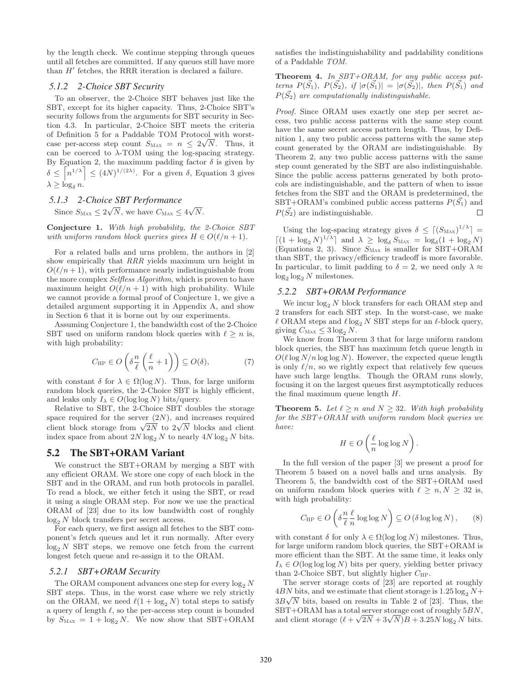by the length check. We continue stepping through queues until all fetches are committed. If any queues still have more than H′ fetches, the RRR iteration is declared a failure.

#### *5.1.2 2-Choice SBT Security*

To an observer, the 2-Choice SBT behaves just like the SBT, except for its higher capacity. Thus, 2-Choice SBT's security follows from the arguments for SBT security in Section 4.3. In particular, 2-Choice SBT meets the criteria of Definition 5 for a Paddable TOM Protocol with worstcase per-access step count  $S_{\text{Max}} = n \leq 2\sqrt{N}$ . Thus, it can be coerced to  $\lambda$ -TOM using the log-spacing strategy. By Equation 2, the maximum padding factor  $\delta$  is given by  $\delta \leq \left\lceil n^{1/\lambda} \right\rceil \leq (4N)^{1/(2\lambda)}$ . For a given  $\delta$ , Equation 3 gives  $\lambda \geq \log_{\delta} n$ .

#### *5.1.3 2-Choice SBT Performance*

Since 
$$
S_{\text{Max}} \leq 2\sqrt{N}
$$
, we have  $C_{\text{Max}} \leq 4\sqrt{N}$ .

Conjecture 1. *With high probability, the 2-Choice SBT with uniform random block queries gives*  $H \in O(\ell/n + 1)$ *.* 

For a related balls and urns problem, the authors in [2] show empirically that *RRR* yields maximum urn height in  $O(\ell/n+1)$ , with performance nearly indistinguishable from the more complex *Selfless Algorithm*, which is proven to have maximum height  $O(\ell/n + 1)$  with high probability. While we cannot provide a formal proof of Conjecture 1, we give a detailed argument supporting it in Appendix A, and show in Section 6 that it is borne out by our experiments.

Assuming Conjecture 1, the bandwidth cost of the 2-Choice SBT used on uniform random block queries with  $\ell \geq n$  is, with high probability:

$$
C_{\mathrm{HP}} \in O\left(\delta \frac{n}{\ell} \left(\frac{\ell}{n} + 1\right)\right) \subseteq O(\delta),\tag{7}
$$

with constant  $\delta$  for  $\lambda \in \Omega(\log N)$ . Thus, for large uniform random block queries, the 2-Choice SBT is highly efficient, and leaks only  $I_{\lambda} \in O(\log \log N)$  bits/query.

Relative to SBT, the 2-Choice SBT doubles the storage space required for the server  $(2N)$ , and increases required client block storage from  $\sqrt{2N}$  to  $2\sqrt{N}$  blocks and client index space from about  $2N \log_2 N$  to nearly  $4N \log_2 N$  bits.

### 5.2 The SBT+ORAM Variant

We construct the SBT+ORAM by merging a SBT with any efficient ORAM. We store one copy of each block in the SBT and in the ORAM, and run both protocols in parallel. To read a block, we either fetch it using the SBT, or read it using a single ORAM step. For now we use the practical ORAM of [23] due to its low bandwidth cost of roughly  $log_2 N$  block transfers per secret access.

For each query, we first assign all fetches to the SBT component's fetch queues and let it run normally. After every  $\log_2 N$  SBT steps, we remove one fetch from the current longest fetch queue and re-assign it to the ORAM.

### *5.2.1 SBT+ORAM Security*

The ORAM component advances one step for every  $log_2 N$ SBT steps. Thus, in the worst case where we rely strictly on the ORAM, we need  $\ell(1 + \log_2 N)$  total steps to satisfy a query of length  $\ell$ , so the per-access step count is bounded by  $S_{\text{MAX}} = 1 + \log_2 N$ . We now show that SBT+ORAM satisfies the indistinguishability and paddability conditions of a Paddable *TOM*.

Theorem 4. *In SBT+ORAM, for any public access patterns*  $P(\vec{S_1})$ *,*  $P(\vec{S_2})$ *, if*  $|\sigma(\vec{S_1})| = |\sigma(\vec{S_2})|$ *, then*  $P(\vec{S_1})$  *and*  $P(\vec{S}_2)$  are computationally indistinguishable.

*Proof.* Since ORAM uses exactly one step per secret access, two public access patterns with the same step count have the same secret access pattern length. Thus, by Definition 1, any two public access patterns with the same step count generated by the ORAM are indistinguishable. By Theorem 2, any two public access patterns with the same step count generated by the SBT are also indistinguishable. Since the public access patterns generated by both protocols are indistinguishable, and the pattern of when to issue fetches from the SBT and the ORAM is predetermined, the SBT+ORAM's combined public access patterns  $P(\vec{S}_1)$  and  $P(\vec{S_2})$  are indistinguishable.  $\Box$ 

Using the log-spacing strategy gives  $\delta \leq \left[ \left( S_{\text{MAX}} \right)^{1/\lambda} \right] =$  $\left[ (1 + \log_2 N)^{1/\lambda} \right]$  and  $\lambda \geq \log_\delta S_{\text{MAX}} = \log_\delta (1 + \log_2 N)$ (Equations 2, 3). Since  $S_{\text{MAX}}$  is smaller for SBT+ORAM than SBT, the privacy/efficiency tradeoff is more favorable. In particular, to limit padding to  $\delta = 2$ , we need only  $\lambda \approx$  $log_2 log_2 N$  milestones.

#### *5.2.2 SBT+ORAM Performance*

We incur  $log_2 N$  block transfers for each ORAM step and 2 transfers for each SBT step. In the worst-case, we make  $\ell$  ORAM steps and  $\ell \log_2 N$  SBT steps for an  $\ell\text{-block}$  query, giving  $C_{\text{Max}} \leq 3 \log_2 N$ .

We know from Theorem 3 that for large uniform random block queries, the SBT has maximum fetch queue length in  $O(\ell \log N/n \log \log N)$ . However, the expected queue length is only  $\ell/n$ , so we rightly expect that relatively few queues have such large lengths. Though the ORAM runs slowly, focusing it on the largest queues first asymptotically reduces the final maximum queue length H.

**Theorem 5.** Let  $\ell \geq n$  and  $N \geq 32$ . With high probability *for the SBT+ORAM with uniform random block queries we have:*

$$
H \in O\left(\frac{\ell}{n}\log\log N\right).
$$

In the full version of the paper [3] we present a proof for Theorem 5 based on a novel balls and urns analysis. By Theorem 5, the bandwidth cost of the SBT+ORAM used on uniform random block queries with  $\ell \geq n, N \geq 32$  is, with high probability:

$$
C_{\mathrm{HP}} \in O\left(\delta \frac{n}{\ell} \frac{\ell}{n} \log \log N\right) \subseteq O\left(\delta \log \log N\right),\qquad(8)
$$

with constant  $\delta$  for only  $\lambda \in \Omega(\log \log N)$  milestones. Thus, for large uniform random block queries, the SBT+ORAM is more efficient than the SBT. At the same time, it leaks only  $I_{\lambda} \in O(\log \log \log N)$  bits per query, yielding better privacy than 2-Choice SBT, but slightly higher  $C_{\text{HP}}$ .

The server storage costs of [23] are reported at roughly  $4BN$  bits, and we estimate that client storage is  $1.25 \log_2 N+$  $3B\sqrt{N}$  bits, based on results in Table 2 of [23]. Thus, the SBT+ORAM has a total server storage cost of roughly 5BN, and client storage  $(\ell + \sqrt{2N} + 3\sqrt{N})B + 3.25N \log_2 N$  bits.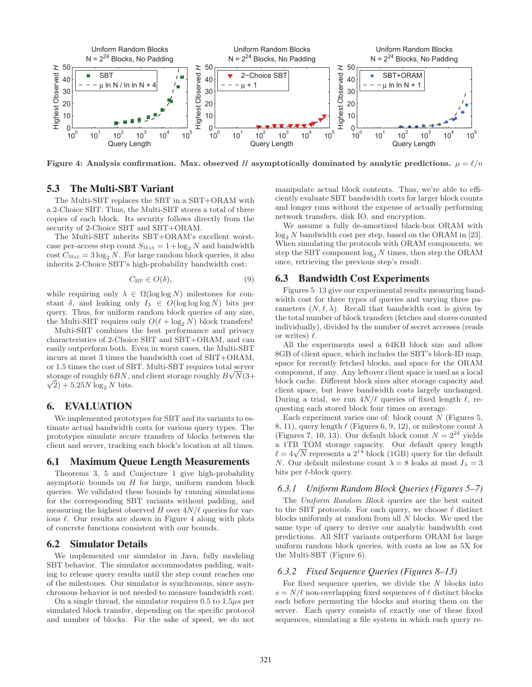

Figure 4: Analysis confirmation. Max. observed H asymptotically dominated by analytic predictions.  $\mu = \ell/n$ 

# 5.3 The Multi-SBT Variant

The Multi-SBT replaces the SBT in a SBT+ORAM with a 2-Choice SBT. Thus, the Multi-SBT stores a total of three copies of each block. Its security follows directly from the security of 2-Choice SBT and SBT+ORAM.

The Multi-SBT inherits SBT+ORAM's excellent worstcase per-access step count  $S_{\text{MAX}} = 1 + \log_2 N$  and bandwidth cost  $C_{\text{MAX}} = 3 \log_2 N$ . For large random block queries, it also inherits 2-Choice SBT's high-probability bandwidth cost:

$$
C_{\rm HP} \in O(\delta),\tag{9}
$$

while requiring only  $\lambda \in \Omega(\log \log N)$  milestones for constant  $\delta$ , and leaking only  $I_{\lambda} \in O(\log \log \log N)$  bits per query. Thus, for uniform random block queries of any size, the Multi-SBT requires only  $O(\ell + \log_2 N)$  block transfers!

Multi-SBT combines the best performance and privacy characteristics of 2-Choice SBT and SBT+ORAM, and can easily outperform both. Even in worst cases, the Multi-SBT incurs at most 3 times the bandwidth cost of SBT+ORAM, or 1.5 times the cost of SBT. Multi-SBT requires total server storage of roughly  $6BN$ , and client storage roughly  $B\sqrt{N}(3+$  $\sqrt{2}$ ) + 5.25*N* log<sub>2</sub> *N* bits.

# 6. EVALUATION

We implemented prototypes for SBT and its variants to estimate actual bandwidth costs for various query types. The prototypes simulate secure transfers of blocks between the client and server, tracking each block's location at all times.

### 6.1 Maximum Queue Length Measurements

Theorems 3, 5 and Conjecture 1 give high-probability asymptotic bounds on  $H$  for large, uniform random block queries. We validated these bounds by running simulations for the corresponding SBT variants without padding, and measuring the highest observed H over  $4N/\ell$  queries for various  $\ell$ . Our results are shown in Figure 4 along with plots of concrete functions consistent with our bounds.

#### 6.2 Simulator Details

We implemented our simulator in Java, fully modeling SBT behavior. The simulator accommodates padding, waiting to release query results until the step count reaches one of the milestones. Our simulator is synchronous, since asynchronous behavior is not needed to measure bandwidth cost.

On a single thread, the simulator requires  $0.5$  to  $1.5\mu s$  per simulated block transfer, depending on the specific protocol and number of blocks. For the sake of speed, we do not manipulate actual block contents. Thus, we're able to efficiently evaluate SBT bandwidth costs for larger block counts and longer runs without the expense of actually performing network transfers, disk IO, and encryption.

We assume a fully de-amortized black-box ORAM with  $\log_2 N$  bandwidth cost per step, based on the ORAM in [23]. When simulating the protocols with ORAM components, we step the SBT component  $\log_2 N$  times, then step the ORAM once, retrieving the previous step's result.

### 6.3 Bandwidth Cost Experiments

Figures 5–13 give our experimental results measuring bandwidth cost for three types of queries and varying three parameters  $(N, \ell, \lambda)$ . Recall that bandwidth cost is given by the total number of block transfers (fetches and stores counted individually), divided by the number of secret accesses (reads or writes)  $\ell$ .

All the experiments used a 64KB block size and allow 8GB of client space, which includes the SBT's block-ID map, space for recently fetched blocks, and space for the ORAM component, if any. Any leftover client space is used as a local block cache. Different block sizes alter storage capacity and client space, but leave bandwidth costs largely unchanged. During a trial, we run  $4N/\ell$  queries of fixed length  $\ell$ , requesting each stored block four times on average.

Each experiment varies one of: block count  $N$  (Figures 5, 8, 11), query length  $\ell$  (Figures 6, 9, 12), or milestone count  $\lambda$ (Figures 7, 10, 13). Our default block count  $N = 2^{24}$  yields a 1TB TOM storage capacity. Our default query length  $\ell = 4\sqrt{N}$  represents a  $2^{14}$  block (1GB) query for the default N. Our default milestone count  $\lambda = 8$  leaks at most  $I_{\lambda} = 3$ bits per  $\ell$ -block query.

#### *6.3.1 Uniform Random Block Queries (Figures 5–7)*

The *Uniform Random Block* queries are the best suited to the SBT protocols. For each query, we choose  $\ell$  distinct blocks uniformly at random from all N blocks. We used the same type of query to derive our analytic bandwidth cost predictions. All SBT variants outperform ORAM for large uniform random block queries, with costs as low as 5X for the Multi-SBT (Figure 6).

#### *6.3.2 Fixed Sequence Queries (Figures 8–13)*

For fixed sequence queries, we divide the  $N$  blocks into  $s = N/\ell$  non-overlapping fixed sequences of  $\ell$  distinct blocks each before permuting the blocks and storing them on the server. Each query consists of exactly one of these fixed sequences, simulating a file system in which each query re-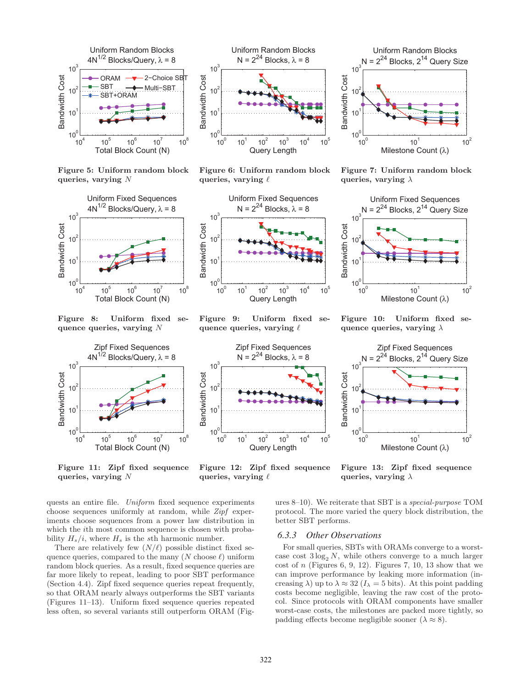

Figure 5: Uniform random block queries, varying N



Figure 8: Uniform fixed sequence queries, varying N



Figure 11: Zipf fixed sequence queries, varying N



Figure 6: Uniform random block queries, varying  $\ell$ 



Figure 9: Uniform fixed sequence queries, varying  $\ell$ 



Figure 12: Zipf fixed sequence queries, varying  $\ell$ 

queries, varying  $\lambda$ 

Figure 13: Zipf fixed sequence

 $10<sup>1</sup>$ 

Milestone Count (λ)

 $10^{2}$ 

quests an entire file. *Uniform* fixed sequence experiments choose sequences uniformly at random, while *Zipf* experiments choose sequences from a power law distribution in which the ith most common sequence is chosen with probability  $H_s/i$ , where  $H_s$  is the sth harmonic number.

There are relatively few  $(N/\ell)$  possible distinct fixed sequence queries, compared to the many  $(N \text{ choose } \ell)$  uniform random block queries. As a result, fixed sequence queries are far more likely to repeat, leading to poor SBT performance (Section 4.4). Zipf fixed sequence queries repeat frequently, so that ORAM nearly always outperforms the SBT variants (Figures 11–13). Uniform fixed sequence queries repeated less often, so several variants still outperform ORAM (Fig-





Figure 7: Uniform random block queries, varying  $\lambda$ 



Figure 10: Uniform fixed sequence queries, varying  $\lambda$ 

Zipf Fixed Sequences  $N = 2^{24}$  Blocks,  $2^{14}$  Query Size

ures 8–10). We reiterate that SBT is a *special-purpose* TOM protocol. The more varied the query block distribution, the

 $10^{0}$ 

 $10<sup>0</sup>$ 

10<sup>1</sup>

Bandwidth Cost

**Bandwidth Cost** 

 $10^2$ 

 $10<sup>3</sup>$ 

#### *6.3.3 Other Observations*

better SBT performs.

For small queries, SBTs with ORAMs converge to a worstcase cost  $3 \log_2 N$ , while others converge to a much larger cost of  $n$  (Figures 6, 9, 12). Figures 7, 10, 13 show that we can improve performance by leaking more information (increasing  $\lambda$ ) up to  $\lambda \approx 32$  ( $I_{\lambda} = 5$  bits). At this point padding costs become negligible, leaving the raw cost of the protocol. Since protocols with ORAM components have smaller worst-case costs, the milestones are packed more tightly, so padding effects become negligible sooner  $(\lambda \approx 8)$ .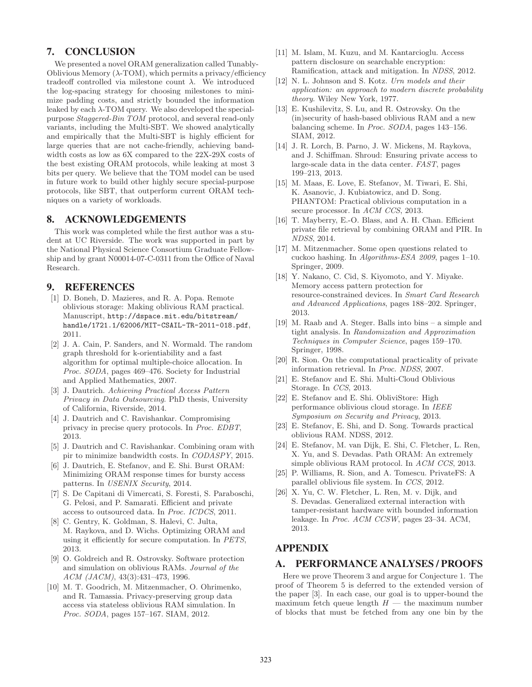# 7. CONCLUSION

We presented a novel ORAM generalization called Tunably-Oblivious Memory  $(\lambda$ -TOM), which permits a privacy/efficiency tradeoff controlled via milestone count  $\lambda$ . We introduced the log-spacing strategy for choosing milestones to minimize padding costs, and strictly bounded the information leaked by each  $\lambda$ -TOM query. We also developed the specialpurpose *Staggered-Bin TOM* protocol, and several read-only variants, including the Multi-SBT. We showed analytically and empirically that the Multi-SBT is highly efficient for large queries that are not cache-friendly, achieving bandwidth costs as low as 6X compared to the 22X-29X costs of the best existing ORAM protocols, while leaking at most 3 bits per query. We believe that the TOM model can be used in future work to build other highly secure special-purpose protocols, like SBT, that outperform current ORAM techniques on a variety of workloads.

# 8. ACKNOWLEDGEMENTS

This work was completed while the first author was a student at UC Riverside. The work was supported in part by the National Physical Science Consortium Graduate Fellowship and by grant N00014-07-C-0311 from the Office of Naval Research.

# 9. REFERENCES

- [1] D. Boneh, D. Mazieres, and R. A. Popa. Remote oblivious storage: Making oblivious RAM practical. Manuscript, http://dspace.mit.edu/bitstream/ handle/1721.1/62006/MIT-CSAIL-TR-2011-018.pdf, 2011.
- [2] J. A. Cain, P. Sanders, and N. Wormald. The random graph threshold for k-orientiability and a fast algorithm for optimal multiple-choice allocation. In *Proc. SODA*, pages 469–476. Society for Industrial and Applied Mathematics, 2007.
- [3] J. Dautrich. *Achieving Practical Access Pattern Privacy in Data Outsourcing*. PhD thesis, University of California, Riverside, 2014.
- [4] J. Dautrich and C. Ravishankar. Compromising privacy in precise query protocols. In *Proc. EDBT*, 2013.
- [5] J. Dautrich and C. Ravishankar. Combining oram with pir to minimize bandwidth costs. In *CODASPY*, 2015.
- [6] J. Dautrich, E. Stefanov, and E. Shi. Burst ORAM: Minimizing ORAM response times for bursty access patterns. In *USENIX Security*, 2014.
- [7] S. De Capitani di Vimercati, S. Foresti, S. Paraboschi, G. Pelosi, and P. Samarati. Efficient and private access to outsourced data. In *Proc. ICDCS*, 2011.
- [8] C. Gentry, K. Goldman, S. Halevi, C. Julta, M. Raykova, and D. Wichs. Optimizing ORAM and using it efficiently for secure computation. In *PETS*, 2013.
- [9] O. Goldreich and R. Ostrovsky. Software protection and simulation on oblivious RAMs. *Journal of the ACM (JACM)*, 43(3):431–473, 1996.
- [10] M. T. Goodrich, M. Mitzenmacher, O. Ohrimenko, and R. Tamassia. Privacy-preserving group data access via stateless oblivious RAM simulation. In *Proc. SODA*, pages 157–167. SIAM, 2012.
- [11] M. Islam, M. Kuzu, and M. Kantarcioglu. Access pattern disclosure on searchable encryption: Ramification, attack and mitigation. In *NDSS*, 2012.
- [12] N. L. Johnson and S. Kotz. *Urn models and their application: an approach to modern discrete probability theory*. Wiley New York, 1977.
- [13] E. Kushilevitz, S. Lu, and R. Ostrovsky. On the (in)security of hash-based oblivious RAM and a new balancing scheme. In *Proc. SODA*, pages 143–156. SIAM, 2012.
- [14] J. R. Lorch, B. Parno, J. W. Mickens, M. Raykova, and J. Schiffman. Shroud: Ensuring private access to large-scale data in the data center. *FAST*, pages 199–213, 2013.
- [15] M. Maas, E. Love, E. Stefanov, M. Tiwari, E. Shi, K. Asanovic, J. Kubiatowicz, and D. Song. PHANTOM: Practical oblivious computation in a secure processor. In *ACM CCS*, 2013.
- [16] T. Mayberry, E.-O. Blass, and A. H. Chan. Efficient private file retrieval by combining ORAM and PIR. In *NDSS*, 2014.
- [17] M. Mitzenmacher. Some open questions related to cuckoo hashing. In *Algorithms-ESA 2009*, pages 1–10. Springer, 2009.
- [18] Y. Nakano, C. Cid, S. Kiyomoto, and Y. Miyake. Memory access pattern protection for resource-constrained devices. In *Smart Card Research and Advanced Applications*, pages 188–202. Springer, 2013.
- [19] M. Raab and A. Steger. Balls into bins a simple and tight analysis. In *Randomization and Approximation Techniques in Computer Science*, pages 159–170. Springer, 1998.
- [20] R. Sion. On the computational practicality of private information retrieval. In *Proc. NDSS*, 2007.
- [21] E. Stefanov and E. Shi. Multi-Cloud Oblivious Storage. In *CCS*, 2013.
- [22] E. Stefanov and E. Shi. ObliviStore: High performance oblivious cloud storage. In *IEEE Symposium on Security and Privacy*, 2013.
- [23] E. Stefanov, E. Shi, and D. Song. Towards practical oblivious RAM. NDSS, 2012.
- [24] E. Stefanov, M. van Dijk, E. Shi, C. Fletcher, L. Ren, X. Yu, and S. Devadas. Path ORAM: An extremely simple oblivious RAM protocol. In *ACM CCS*, 2013.
- [25] P. Williams, R. Sion, and A. Tomescu. PrivateFS: A parallel oblivious file system. In *CCS*, 2012.
- [26] X. Yu, C. W. Fletcher, L. Ren, M. v. Dijk, and S. Devadas. Generalized external interaction with tamper-resistant hardware with bounded information leakage. In *Proc. ACM CCSW*, pages 23–34. ACM, 2013.

# APPENDIX

# A. PERFORMANCE ANALYSES / PROOFS

Here we prove Theorem 3 and argue for Conjecture 1. The proof of Theorem 5 is deferred to the extended version of the paper [3]. In each case, our goal is to upper-bound the maximum fetch queue length  $H$  — the maximum number of blocks that must be fetched from any one bin by the